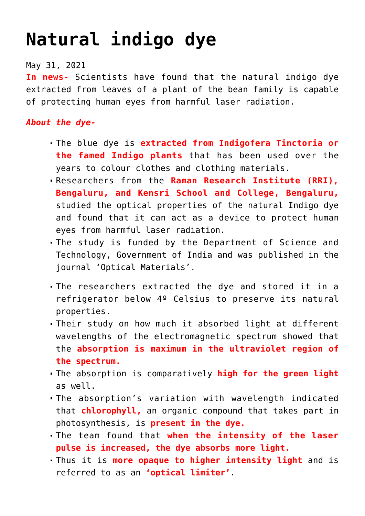## **[Natural indigo dye](https://journalsofindia.com/natural-indigo-dye/)**

## May 31, 2021

**In news-** Scientists have found that the natural indigo dye extracted from leaves of a plant of the bean family is capable of protecting human eyes from harmful laser radiation.

## *About the dye-*

- The blue dye is **extracted from Indigofera Tinctoria or the famed Indigo plants** that has been used over the years to colour clothes and clothing materials.
- Researchers from the **Raman Research Institute (RRI), Bengaluru, and Kensri School and College, Bengaluru,** studied the optical properties of the natural Indigo dye and found that it can act as a device to protect human eyes from harmful laser radiation.
- The study is funded by the Department of Science and Technology, Government of India and was published in the journal 'Optical Materials'.
- The researchers extracted the dye and stored it in a refrigerator below 4º Celsius to preserve its natural properties.
- Their study on how much it absorbed light at different wavelengths of the electromagnetic spectrum showed that the **absorption is maximum in the ultraviolet region of the spectrum.**
- The absorption is comparatively **high for the green light** as well.
- The absorption's variation with wavelength indicated that **chlorophyll,** an organic compound that takes part in photosynthesis, is **present in the dye.**
- The team found that **when the intensity of the laser pulse is increased, the dye absorbs more light.**
- Thus it is **more opaque to higher intensity light** and is referred to as an **'optical limiter'**.